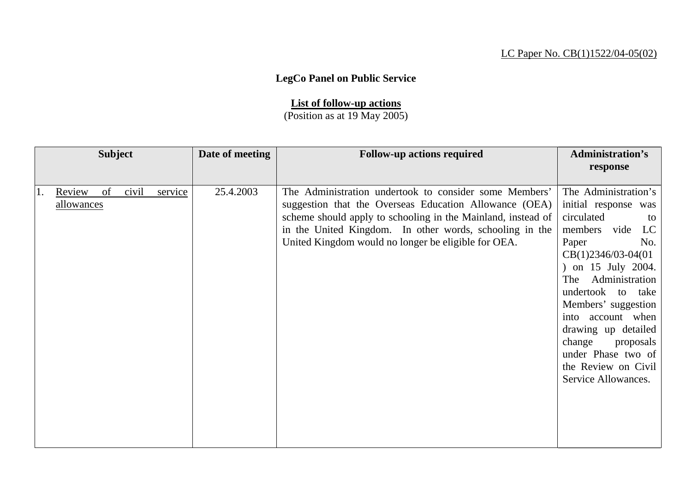## LC Paper No. CB(1)1522/04-05(02)

## **LegCo Panel on Public Service**

## **List of follow-up actions**

(Position as at 19 May 2005)

| <b>Subject</b> |            |    |       | Date of meeting | <b>Follow-up actions required</b> | <b>Administration's</b>                                      |                       |
|----------------|------------|----|-------|-----------------|-----------------------------------|--------------------------------------------------------------|-----------------------|
|                |            |    |       |                 |                                   |                                                              | response              |
|                |            |    |       |                 |                                   |                                                              |                       |
|                | Review     | of | civil | service         | 25.4.2003                         | The Administration undertook to consider some Members'       | The Administration's  |
|                | allowances |    |       |                 |                                   | suggestion that the Overseas Education Allowance (OEA)       | initial response was  |
|                |            |    |       |                 |                                   | scheme should apply to schooling in the Mainland, instead of | circulated<br>to      |
|                |            |    |       |                 |                                   | in the United Kingdom. In other words, schooling in the      | members vide<br>LC    |
|                |            |    |       |                 |                                   | United Kingdom would no longer be eligible for OEA.          | Paper<br>No.          |
|                |            |    |       |                 |                                   |                                                              | $CB(1)2346/03-04(01)$ |
|                |            |    |       |                 |                                   |                                                              | ) on 15 July 2004.    |
|                |            |    |       |                 |                                   |                                                              | Administration<br>The |
|                |            |    |       |                 |                                   |                                                              | undertook to take     |
|                |            |    |       |                 |                                   |                                                              | Members' suggestion   |
|                |            |    |       |                 |                                   |                                                              | into account when     |
|                |            |    |       |                 |                                   |                                                              | drawing up detailed   |
|                |            |    |       |                 |                                   |                                                              | change<br>proposals   |
|                |            |    |       |                 |                                   |                                                              | under Phase two of    |
|                |            |    |       |                 |                                   |                                                              | the Review on Civil   |
|                |            |    |       |                 |                                   |                                                              | Service Allowances.   |
|                |            |    |       |                 |                                   |                                                              |                       |
|                |            |    |       |                 |                                   |                                                              |                       |
|                |            |    |       |                 |                                   |                                                              |                       |
|                |            |    |       |                 |                                   |                                                              |                       |
|                |            |    |       |                 |                                   |                                                              |                       |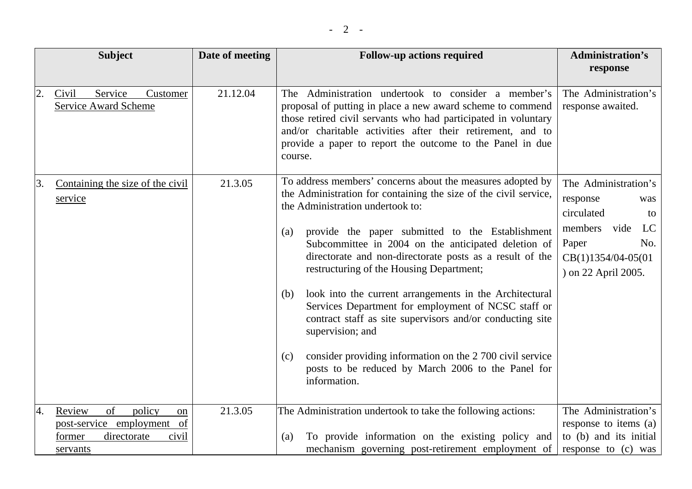|    | <b>Subject</b>                                                                                                      | Date of meeting | <b>Follow-up actions required</b>                                                                                                                                                                                                                                                                                                                                                                                                                                                                                                                                                                                                                                                                                                                | <b>Administration's</b><br>response                                                                                                            |
|----|---------------------------------------------------------------------------------------------------------------------|-----------------|--------------------------------------------------------------------------------------------------------------------------------------------------------------------------------------------------------------------------------------------------------------------------------------------------------------------------------------------------------------------------------------------------------------------------------------------------------------------------------------------------------------------------------------------------------------------------------------------------------------------------------------------------------------------------------------------------------------------------------------------------|------------------------------------------------------------------------------------------------------------------------------------------------|
| 2. | Service<br>Civil<br>Customer<br><b>Service Award Scheme</b>                                                         | 21.12.04        | The Administration undertook to consider a member's<br>proposal of putting in place a new award scheme to commend<br>those retired civil servants who had participated in voluntary<br>and/or charitable activities after their retirement, and to<br>provide a paper to report the outcome to the Panel in due<br>course.                                                                                                                                                                                                                                                                                                                                                                                                                       | The Administration's<br>response awaited.                                                                                                      |
| 3. | Containing the size of the civil<br>service                                                                         | 21.3.05         | To address members' concerns about the measures adopted by<br>the Administration for containing the size of the civil service,<br>the Administration undertook to:<br>provide the paper submitted to the Establishment<br>(a)<br>Subcommittee in 2004 on the anticipated deletion of<br>directorate and non-directorate posts as a result of the<br>restructuring of the Housing Department;<br>look into the current arrangements in the Architectural<br>(b)<br>Services Department for employment of NCSC staff or<br>contract staff as site supervisors and/or conducting site<br>supervision; and<br>consider providing information on the 2 700 civil service<br>(c)<br>posts to be reduced by March 2006 to the Panel for<br>information. | The Administration's<br>response<br>was<br>circulated<br>to<br>LC<br>members vide<br>Paper<br>No.<br>CB(1)1354/04-05(01<br>) on 22 April 2005. |
| 4. | <sub>of</sub><br>Review<br>policy<br>on<br>post-service employment of<br>directorate<br>former<br>civil<br>servants | 21.3.05         | The Administration undertook to take the following actions:<br>To provide information on the existing policy and<br>(a)<br>mechanism governing post-retirement employment of                                                                                                                                                                                                                                                                                                                                                                                                                                                                                                                                                                     | The Administration's<br>response to items (a)<br>to (b) and its initial<br>response to (c) was                                                 |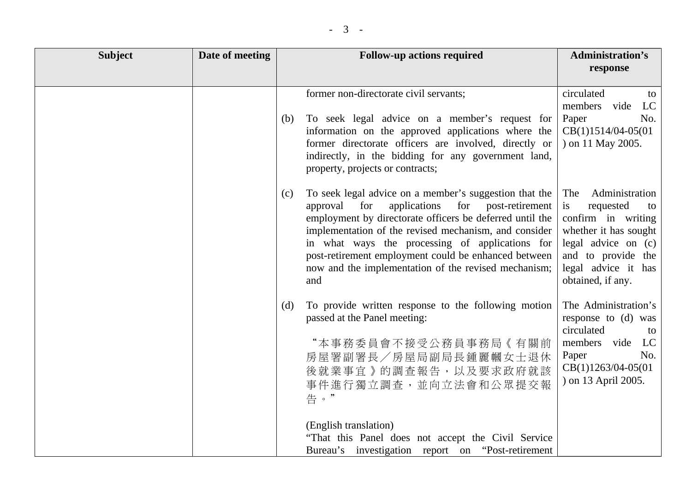| <b>Subject</b> | Date of meeting | <b>Follow-up actions required</b>                                                                                                                                                                                                                                                                                                                                                                                   | <b>Administration's</b><br>response                                                                                                                                                      |
|----------------|-----------------|---------------------------------------------------------------------------------------------------------------------------------------------------------------------------------------------------------------------------------------------------------------------------------------------------------------------------------------------------------------------------------------------------------------------|------------------------------------------------------------------------------------------------------------------------------------------------------------------------------------------|
|                |                 | former non-directorate civil servants;                                                                                                                                                                                                                                                                                                                                                                              | circulated<br>to                                                                                                                                                                         |
|                |                 | To seek legal advice on a member's request for<br>(b)<br>information on the approved applications where the<br>former directorate officers are involved, directly or<br>indirectly, in the bidding for any government land,<br>property, projects or contracts;                                                                                                                                                     | members vide<br>LC<br>Paper<br>No.<br>$CB(1)1514/04-05(01)$<br>) on 11 May 2005.                                                                                                         |
|                |                 | To seek legal advice on a member's suggestion that the<br>(c)<br>applications<br>for post-retirement<br>approval for<br>employment by directorate officers be deferred until the<br>implementation of the revised mechanism, and consider<br>in what ways the processing of applications for<br>post-retirement employment could be enhanced between<br>now and the implementation of the revised mechanism;<br>and | The<br>Administration<br>is<br>requested<br>to<br>confirm in writing<br>whether it has sought<br>legal advice on $(c)$<br>and to provide the<br>legal advice it has<br>obtained, if any. |
|                |                 | To provide written response to the following motion<br>(d)<br>passed at the Panel meeting:<br>"本事務委員會不接受公務員事務局《有關前<br>房屋署副署長/房屋局副局長鍾麗幗女士退休<br>後就業事宜》的調查報告,以及要求政府就該<br>事件進行獨立調查,並向立法會和公眾提交報<br>告。"                                                                                                                                                                                                                   | The Administration's<br>response to (d) was<br>circulated<br>to<br>members vide LC<br>No.<br>Paper<br>$CB(1)1263/04-05(01)$<br>) on 13 April 2005.                                       |
|                |                 | (English translation)<br>"That this Panel does not accept the Civil Service<br>Bureau's investigation report on "Post-retirement                                                                                                                                                                                                                                                                                    |                                                                                                                                                                                          |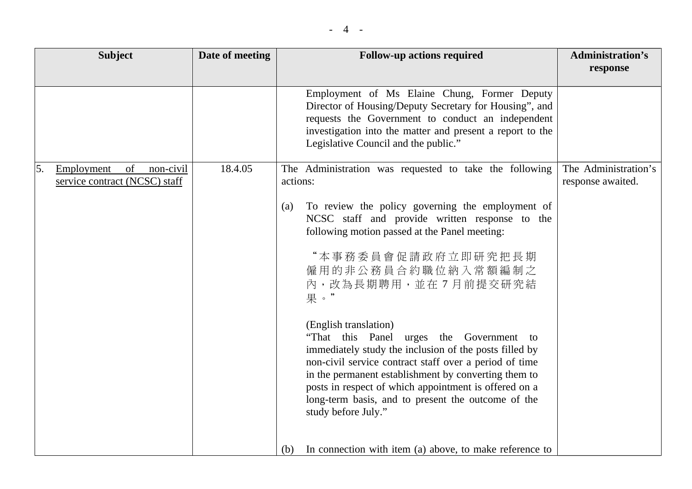| <b>Subject</b>                                                       | Date of meeting | <b>Follow-up actions required</b>                                                                                                                                                                                                                                                                                                                                                                                                                                                                                                                                                                    | <b>Administration's</b>                   |
|----------------------------------------------------------------------|-----------------|------------------------------------------------------------------------------------------------------------------------------------------------------------------------------------------------------------------------------------------------------------------------------------------------------------------------------------------------------------------------------------------------------------------------------------------------------------------------------------------------------------------------------------------------------------------------------------------------------|-------------------------------------------|
|                                                                      |                 |                                                                                                                                                                                                                                                                                                                                                                                                                                                                                                                                                                                                      | response                                  |
|                                                                      |                 | Employment of Ms Elaine Chung, Former Deputy<br>Director of Housing/Deputy Secretary for Housing", and<br>requests the Government to conduct an independent<br>investigation into the matter and present a report to the<br>Legislative Council and the public."                                                                                                                                                                                                                                                                                                                                     |                                           |
| of<br>5.<br>Employment<br>non-civil<br>service contract (NCSC) staff | 18.4.05         | The Administration was requested to take the following<br>actions:                                                                                                                                                                                                                                                                                                                                                                                                                                                                                                                                   | The Administration's<br>response awaited. |
|                                                                      |                 | To review the policy governing the employment of<br>(a)<br>NCSC staff and provide written response to the<br>following motion passed at the Panel meeting:<br>"本事務委員會促請政府立即研究把長期<br>僱用的非公務員合約職位納入常額編制之<br>內,改為長期聘用,並在7月前提交研究結<br>果。"<br>(English translation)<br>"That this Panel urges the Government to<br>immediately study the inclusion of the posts filled by<br>non-civil service contract staff over a period of time<br>in the permanent establishment by converting them to<br>posts in respect of which appointment is offered on a<br>long-term basis, and to present the outcome of the |                                           |
|                                                                      |                 | study before July."<br>In connection with item (a) above, to make reference to<br>(b)                                                                                                                                                                                                                                                                                                                                                                                                                                                                                                                |                                           |